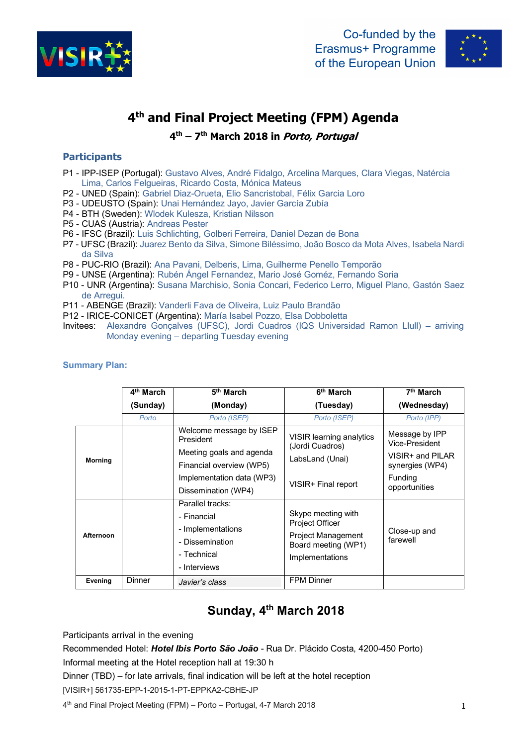



# **4th and Final Project Meeting (FPM) Agenda**

**4th – 7th March 2018 in Porto, Portugal**

### **Participants**

- P1 IPP-ISEP (Portugal): Gustavo Alves, André Fidalgo, Arcelina Marques, Clara Viegas, Natércia Lima, Carlos Felgueiras, Ricardo Costa, Mónica Mateus
- P2 UNED (Spain): Gabriel Diaz-Orueta, Elio Sancristobal, Félix Garcia Loro
- P3 UDEUSTO (Spain): Unai Hernández Jayo, Javier García Zubía
- P4 BTH (Sweden): Wlodek Kulesza, Kristian Nilsson
- P5 CUAS (Austria): Andreas Pester
- P6 IFSC (Brazil): Luis Schlichting, Golberi Ferreira, Daniel Dezan de Bona
- P7 UFSC (Brazil): Juarez Bento da Silva, Simone Biléssimo, João Bosco da Mota Alves, Isabela Nardi da Silva
- P8 PUC-RIO (Brazil): Ana Pavani, Delberis, Lima, Guilherme Penello Temporão
- P9 UNSE (Argentina): Rubén Ángel Fernandez, Mario José Goméz, Fernando Soria
- P10 UNR (Argentina): Susana Marchisio, Sonia Concari, Federico Lerro, Miguel Plano, Gastón Saez de Arregui.
- P11 ABENGE (Brazil): Vanderli Fava de Oliveira, Luiz Paulo Brandão
- P12 IRICE-CONICET (Argentina): María Isabel Pozzo, Elsa Dobboletta
- Invitees: Alexandre Gonçalves (UFSC), Jordi Cuadros (IQS Universidad Ramon Llull) arriving Monday evening – departing Tuesday evening

|                             | 4 <sup>th</sup> March | 5 <sup>th</sup> March                                                                                  | 6 <sup>th</sup> March                                                                                               | 7 <sup>th</sup> March                                                   |
|-----------------------------|-----------------------|--------------------------------------------------------------------------------------------------------|---------------------------------------------------------------------------------------------------------------------|-------------------------------------------------------------------------|
|                             | (Sunday)              | (Monday)                                                                                               | (Tuesday)                                                                                                           | (Wednesday)                                                             |
|                             | Porto                 | Porto (ISEP)                                                                                           | Porto (ISEP)                                                                                                        | Porto (IPP)                                                             |
| President<br><b>Morning</b> |                       | Welcome message by ISEP<br>Meeting goals and agenda<br>Financial overview (WP5)                        | VISIR learning analytics<br>(Jordi Cuadros)<br>LabsLand (Unai)                                                      | Message by IPP<br>Vice-President<br>VISIR+ and PILAR<br>synergies (WP4) |
|                             |                       | Implementation data (WP3)<br>Dissemination (WP4)                                                       | VISIR+ Final report                                                                                                 | Funding<br>opportunities                                                |
| Afternoon                   |                       | Parallel tracks:<br>- Financial<br>- Implementations<br>- Dissemination<br>- Technical<br>- Interviews | Skype meeting with<br><b>Project Officer</b><br><b>Project Management</b><br>Board meeting (WP1)<br>Implementations | Close-up and<br>farewell                                                |
| Evening                     | <b>Dinner</b>         | Javier's class                                                                                         | <b>FPM Dinner</b>                                                                                                   |                                                                         |

#### **Summary Plan:**

## **Sunday, 4th March 2018**

Participants arrival in the evening

Recommended Hotel: *Hotel Ibis Porto São João* - Rua Dr. Plácido Costa, 4200-450 Porto)

Informal meeting at the Hotel reception hall at 19:30 h

Dinner (TBD) – for late arrivals, final indication will be left at the hotel reception

[VISIR+] 561735-EPP-1-2015-1-PT-EPPKA2-CBHE-JP

4th and Final Project Meeting (FPM) – Porto – Portugal, 4-7 March 2018 1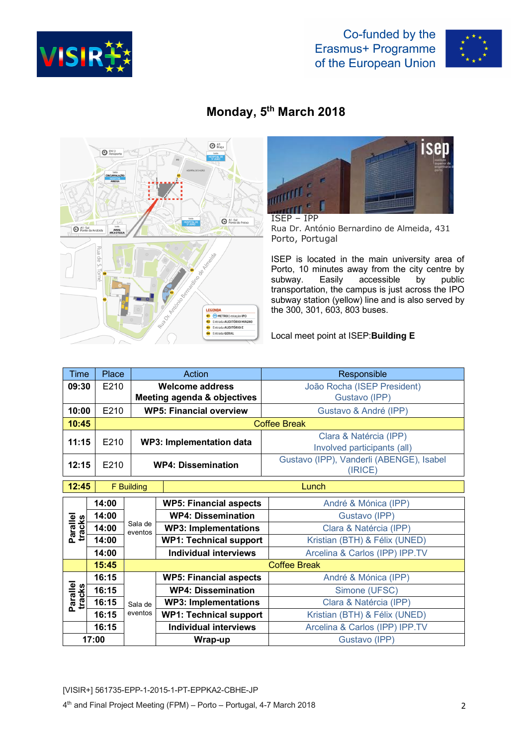



## **Monday, 5th March 2018**





ISEP – IPP Rua Dr. António Bernardino de Almeida, 431 Porto, Portugal

ISEP is located in the main university area of Porto, 10 minutes away from the city centre by subway. Easily accessible by public transportation, the campus is just across the IPO subway station (yellow) line and is also served by the 300, 301, 603, 803 buses.

Local meet point at ISEP:**Building E**

| <b>Time</b>        | Place               | <b>Action</b>       |                                | Responsible                                         |  |  |
|--------------------|---------------------|---------------------|--------------------------------|-----------------------------------------------------|--|--|
| 09:30              | E210                |                     | <b>Welcome address</b>         | João Rocha (ISEP President)                         |  |  |
|                    |                     |                     | Meeting agenda & objectives    | Gustavo (IPP)                                       |  |  |
| 10:00              | E210                |                     | <b>WP5: Financial overview</b> | Gustavo & André (IPP)                               |  |  |
| 10:45              | <b>Coffee Break</b> |                     |                                |                                                     |  |  |
| 11:15              | E210                |                     |                                | Clara & Natércia (IPP)                              |  |  |
|                    |                     |                     | WP3: Implementation data       | Involved participants (all)                         |  |  |
| 12:15              | E210                |                     | <b>WP4: Dissemination</b>      | Gustavo (IPP), Vanderli (ABENGE), Isabel<br>(IRICE) |  |  |
| 12:45              | Lunch<br>F Building |                     |                                |                                                     |  |  |
| Parallel<br>tracks | 14:00               | Sala de<br>eventos  | <b>WP5: Financial aspects</b>  | André & Mónica (IPP)                                |  |  |
|                    | 14:00               |                     | <b>WP4: Dissemination</b>      | Gustavo (IPP)                                       |  |  |
|                    | 14:00               |                     | <b>WP3: Implementations</b>    | Clara & Natércia (IPP)                              |  |  |
|                    | 14:00               |                     | <b>WP1: Technical support</b>  | Kristian (BTH) & Félix (UNED)                       |  |  |
|                    | 14:00               |                     | <b>Individual interviews</b>   | Arcelina & Carlos (IPP) IPP.TV                      |  |  |
|                    | 15:45               | <b>Coffee Break</b> |                                |                                                     |  |  |
|                    | 16:15               |                     | <b>WP5: Financial aspects</b>  | André & Mónica (IPP)                                |  |  |
|                    | 16:15               |                     | <b>WP4: Dissemination</b>      | Simone (UFSC)                                       |  |  |
| Parallel<br>tracks | 16:15               | Sala de<br>eventos  | <b>WP3: Implementations</b>    | Clara & Natércia (IPP)                              |  |  |
|                    | 16:15               |                     | <b>WP1: Technical support</b>  | Kristian (BTH) & Félix (UNED)                       |  |  |
|                    | 16:15               |                     | <b>Individual interviews</b>   | Arcelina & Carlos (IPP) IPP.TV                      |  |  |
| 17:00              |                     |                     | Wrap-up                        | Gustavo (IPP)                                       |  |  |